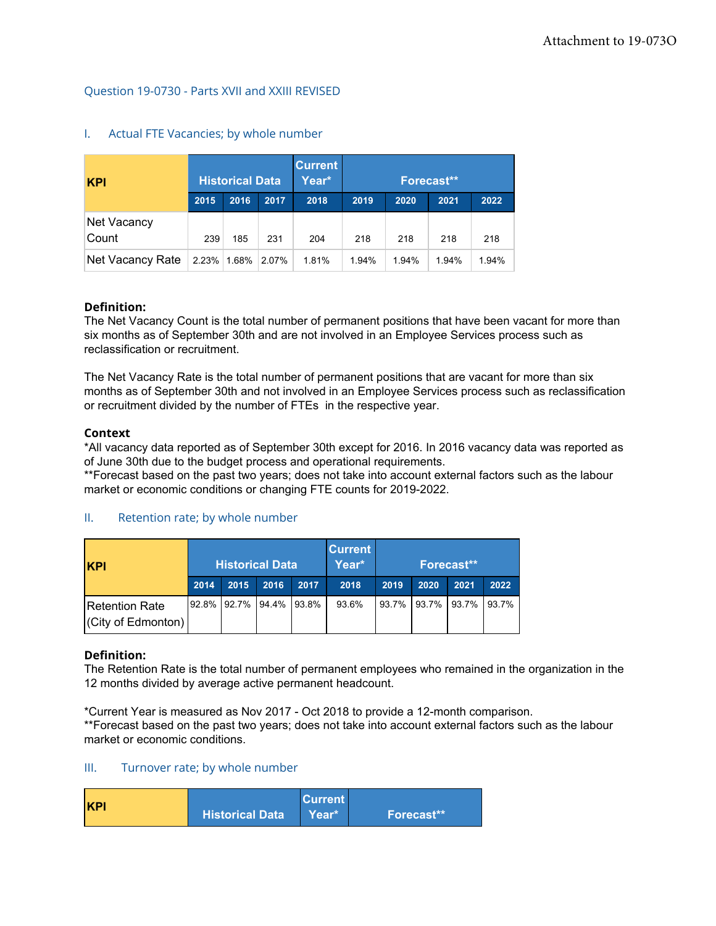# Question 19-0730 - Parts XVII and XXIII REVISED

| <b>KPI</b>           |       | <b>Historical Data</b> |       | <b>Current</b><br>Year* | <b>Forecast**</b> |       |       |       |  |
|----------------------|-------|------------------------|-------|-------------------------|-------------------|-------|-------|-------|--|
|                      | 2015  | 2016                   | 2017  | 2018                    | 2019              | 2020  | 2021  | 2022  |  |
| Net Vacancy<br>Count | 239   | 185                    | 231   | 204                     | 218               | 218   | 218   | 218   |  |
| Net Vacancy Rate     | 2.23% | $1.68\%$               | 2.07% | 1.81%                   | 1.94%             | 1.94% | 1.94% | 1.94% |  |

## I. Actual FTE Vacancies; by whole number

# **Definition:**

The Net Vacancy Count is the total number of permanent positions that have been vacant for more than six months as of September 30th and are not involved in an Employee Services process such as reclassification or recruitment.

The Net Vacancy Rate is the total number of permanent positions that are vacant for more than six months as of September 30th and not involved in an Employee Services process such as reclassification or recruitment divided by the number of FTEs in the respective year.

### **Context**

\*All vacancy data reported as of September 30th except for 2016. In 2016 vacancy data was reported as of June 30th due to the budget process and operational requirements.

\*\*Forecast based on the past two years; does not take into account external factors such as the labour market or economic conditions or changing FTE counts for 2019-2022.

# II. Retention rate; by whole number

| <b>KPI</b>                                  |      | <b>Historical Data</b> |       |       | <b>Current</b><br>Year* | Forecast** |       |       |       |
|---------------------------------------------|------|------------------------|-------|-------|-------------------------|------------|-------|-------|-------|
|                                             | 2014 | 2015                   | 2016  | 2017  | 2018                    | 2019       | 2020  | 2021  | 2022  |
| <b>Retention Rate</b><br>(City of Edmonton) |      | 92.8% 92.7%            | 94.4% | 93.8% | 93.6%                   | 93.7%      | 93.7% | 93.7% | 93.7% |

#### **Definition:**

The Retention Rate is the total number of permanent employees who remained in the organization in the 12 months divided by average active permanent headcount.

\*Current Year is measured as Nov 2017 - Oct 2018 to provide a 12-month comparison. \*\*Forecast based on the past two years; does not take into account external factors such as the labour market or economic conditions.

#### III. Turnover rate; by whole number

| <b>KPI</b><br><b>Historical Data</b> | <b>Current</b><br>Year* <sup>1</sup> | Forecast** |
|--------------------------------------|--------------------------------------|------------|
|--------------------------------------|--------------------------------------|------------|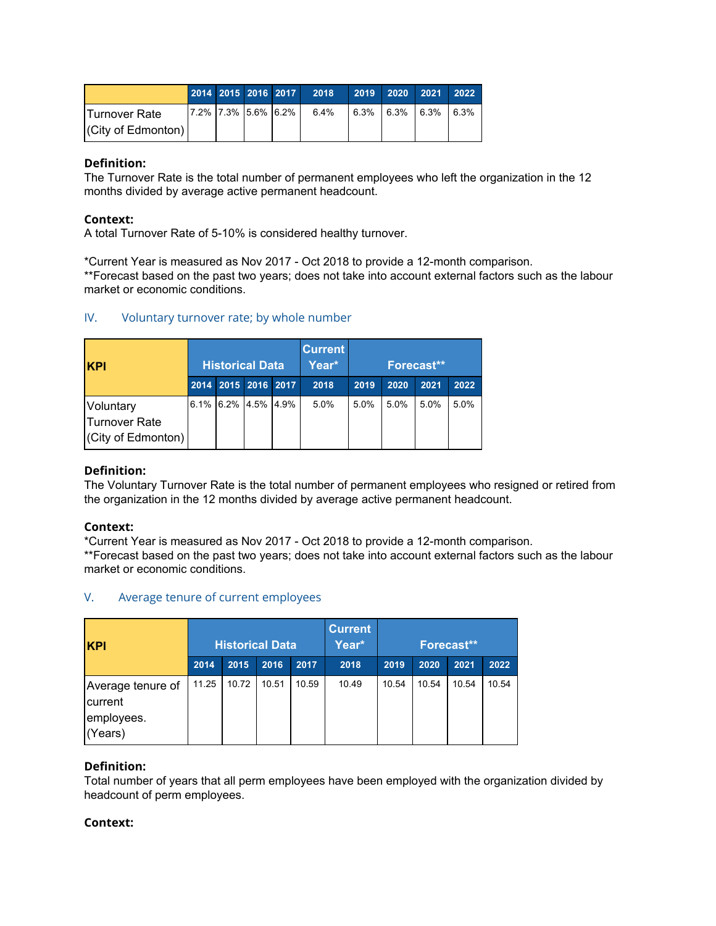|                            |                     |  | 2014 2015 2016 2017 2018 |  | 2019 2020 2021 2022             |  |
|----------------------------|---------------------|--|--------------------------|--|---------------------------------|--|
| <b>ITurnover Rate</b>      | 7.2% 7.3% 5.6% 6.2% |  | 6.4%                     |  | $6.3\%$ $6.3\%$ $6.3\%$ $6.3\%$ |  |
| $ $ (City of Edmonton) $ $ |                     |  |                          |  |                                 |  |

The Turnover Rate is the total number of permanent employees who left the organization in the 12 months divided by average active permanent headcount.

# **Context:**

A total Turnover Rate of 5-10% is considered healthy turnover.

\*Current Year is measured as Nov 2017 - Oct 2018 to provide a 12-month comparison.

\*\*Forecast based on the past two years; does not take into account external factors such as the labour market or economic conditions.

# IV. Voluntary turnover rate; by whole number

| <b>KPI</b>                                        | <b>Historical Data</b> |  |                        |  | <b>Current</b><br>Year* | Forecast** |      |      |      |  |
|---------------------------------------------------|------------------------|--|------------------------|--|-------------------------|------------|------|------|------|--|
|                                                   |                        |  | 2014 2015 2016 2017    |  | 2018                    | 2019       | 2020 | 2021 | 2022 |  |
| Voluntary<br>lTurnover Rate<br>(City of Edmonton) |                        |  | $6.1\%$ 6.2% 4.5% 4.9% |  | 5.0%                    | 5.0%       | 5.0% | 5.0% | 5.0% |  |

# **Definition:**

The Voluntary Turnover Rate is the total number of permanent employees who resigned or retired from the organization in the 12 months divided by average active permanent headcount.

# **Context:**

\*Current Year is measured as Nov 2017 - Oct 2018 to provide a 12-month comparison.

\*\*Forecast based on the past two years; does not take into account external factors such as the labour market or economic conditions.

# V. Average tenure of current employees

| <b>KPI</b>                                            |       | <b>Historical Data</b> |       |       | <b>Current</b><br>Year* | Forecast** |       |       |       |  |
|-------------------------------------------------------|-------|------------------------|-------|-------|-------------------------|------------|-------|-------|-------|--|
|                                                       | 2014  | 2015                   | 2016  | 2017  | 2018                    | 2019       | 2020  | 2021  | 2022  |  |
| Average tenure of<br>current<br>employees.<br>(Years) | 11.25 | 10.72                  | 10.51 | 10.59 | 10.49                   | 10.54      | 10.54 | 10.54 | 10.54 |  |

# **Definition:**

Total number of years that all perm employees have been employed with the organization divided by headcount of perm employees.

# **Context:**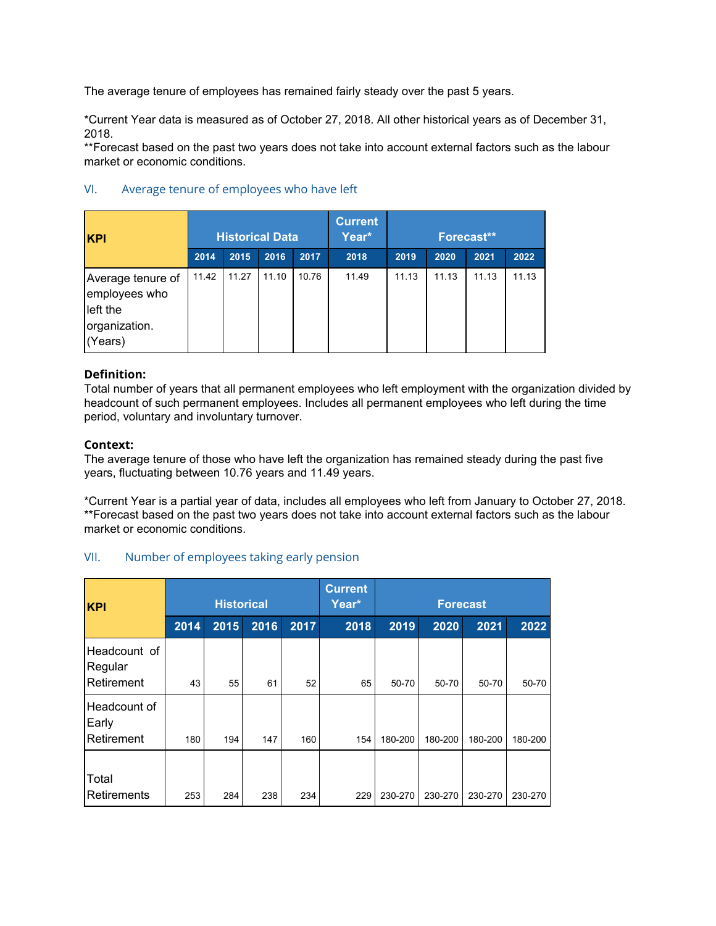The average tenure of employees has remained fairly steady over the past 5 years.

\*Current Year data is measured as of October 27, 2018. All other historical years as of December 31, 2018.

\*\*Forecast based on the past two years does not take into account external factors such as the labour market or economic conditions.

| <b>KPI</b>                                                                 |       | <b>Historical Data</b> |       |       | <b>Current</b><br>Year* | Forecast** |       |       |       |  |
|----------------------------------------------------------------------------|-------|------------------------|-------|-------|-------------------------|------------|-------|-------|-------|--|
|                                                                            | 2014  | 2015                   | 2016  | 2017  | 2018                    | 2019       | 2020  | 2021  | 2022  |  |
| Average tenure of<br>employees who<br>left the<br>organization.<br>(Years) | 11.42 | 11.27                  | 11.10 | 10.76 | 11.49                   | 11.13      | 11.13 | 11.13 | 11.13 |  |

# VI. Average tenure of employees who have left

# **Definition:**

Total number of years that all permanent employees who left employment with the organization divided by headcount of such permanent employees. Includes all permanent employees who left during the time period, voluntary and involuntary turnover.

### **Context:**

The average tenure of those who have left the organization has remained steady during the past five years, fluctuating between 10.76 years and 11.49 years.

\*Current Year is a partial year of data, includes all employees who left from January to October 27, 2018. \*\*Forecast based on the past two years does not take into account external factors such as the labour market or economic conditions.

# VII. Number of employees taking early pension

| <b>KPI</b>                            |      | <b>Historical</b> |      |      | <b>Current</b><br>Year* | <b>Forecast</b> |           |           |         |
|---------------------------------------|------|-------------------|------|------|-------------------------|-----------------|-----------|-----------|---------|
|                                       | 2014 | 2015              | 2016 | 2017 | 2018                    | 2019            | 2020      | 2021      | 2022    |
| Headcount of<br>Regular<br>Retirement | 43   | 55                | 61   | 52   | 65                      | $50 - 70$       | $50 - 70$ | $50 - 70$ | 50-70   |
| Headcount of<br>Early<br>Retirement   | 180  | 194               | 147  | 160  | 154                     | 180-200         | 180-200   | 180-200   | 180-200 |
| Total<br>Retirements                  | 253  | 284               | 238  | 234  | 229                     | 230-270         | 230-270   | 230-270   | 230-270 |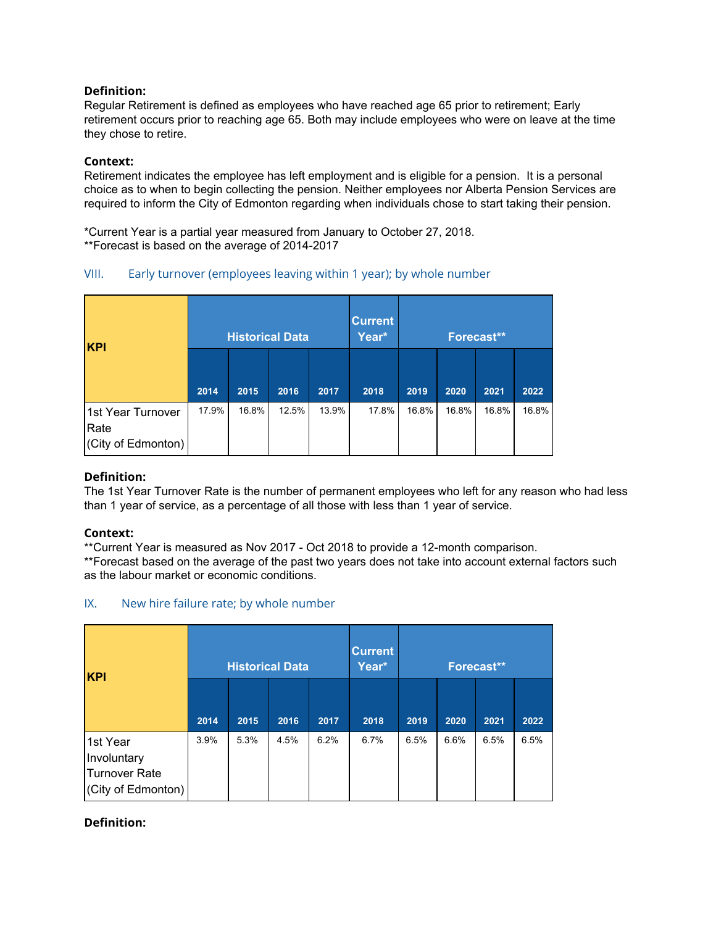Regular Retirement is defined as employees who have reached age 65 prior to retirement; Early retirement occurs prior to reaching age 65. Both may include employees who were on leave at the time they chose to retire.

# **Context:**

Retirement indicates the employee has left employment and is eligible for a pension. It is a personal choice as to when to begin collecting the pension. Neither employees nor Alberta Pension Services are required to inform the City of Edmonton regarding when individuals chose to start taking their pension.

\*Current Year is a partial year measured from January to October 27, 2018. \*\*Forecast is based on the average of 2014-2017

# VIII. Early turnover (employees leaving within 1 year); by whole number

| <b>KPI</b>                                      |       |       | <b>Historical Data</b> |       | <b>Current</b><br>Year* | Forecast** |       |       |       |
|-------------------------------------------------|-------|-------|------------------------|-------|-------------------------|------------|-------|-------|-------|
|                                                 | 2014  | 2015  | 2016                   | 2017  | 2018                    | 2019       | 2020  | 2021  | 2022  |
| 1st Year Turnover<br>Rate<br>(City of Edmonton) | 17.9% | 16.8% | 12.5%                  | 13.9% | 17.8%                   | 16.8%      | 16.8% | 16.8% | 16.8% |

# **Definition:**

The 1st Year Turnover Rate is the number of permanent employees who left for any reason who had less than 1 year of service, as a percentage of all those with less than 1 year of service.

# **Context:**

\*\*Current Year is measured as Nov 2017 - Oct 2018 to provide a 12-month comparison.

\*\*Forecast based on the average of the past two years does not take into account external factors such as the labour market or economic conditions.

# IX. New hire failure rate; by whole number

| <b>KPI</b>                                                     |      |      | <b>Historical Data</b> |      | <b>Current</b><br>Year* | Forecast** |      |      |      |
|----------------------------------------------------------------|------|------|------------------------|------|-------------------------|------------|------|------|------|
|                                                                | 2014 | 2015 | 2016                   | 2017 | 2018                    | 2019       | 2020 | 2021 | 2022 |
| 1st Year<br>Involuntary<br>Turnover Rate<br>(City of Edmonton) | 3.9% | 5.3% | 4.5%                   | 6.2% | 6.7%                    | 6.5%       | 6.6% | 6.5% | 6.5% |

# **Definition:**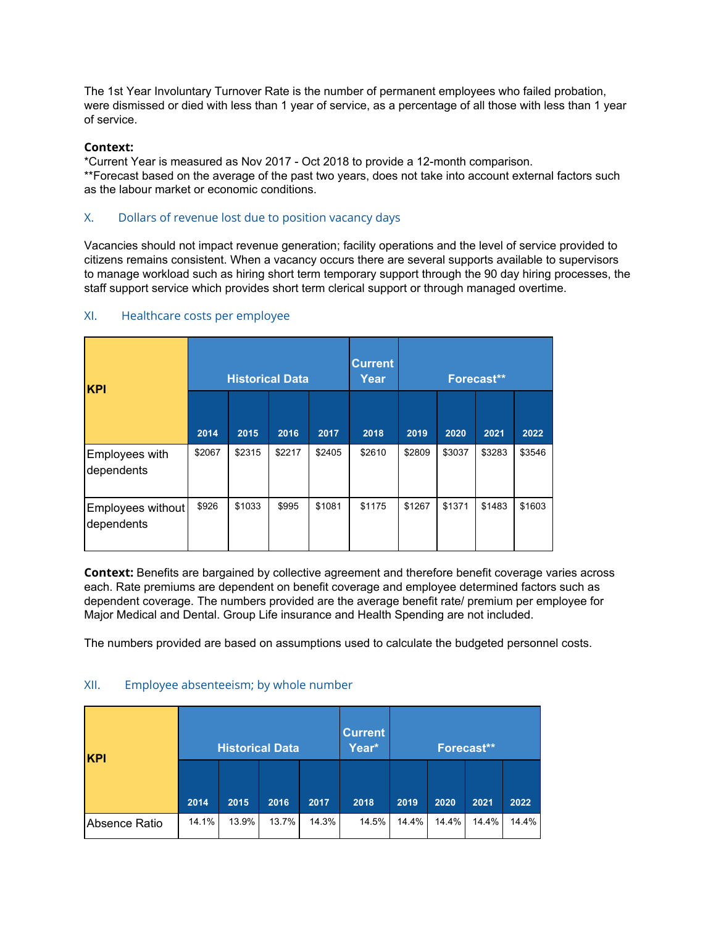The 1st Year Involuntary Turnover Rate is the number of permanent employees who failed probation, were dismissed or died with less than 1 year of service, as a percentage of all those with less than 1 year of service.

# **Context:**

\*Current Year is measured as Nov 2017 - Oct 2018 to provide a 12-month comparison. \*\*Forecast based on the average of the past two years, does not take into account external factors such as the labour market or economic conditions.

# X. Dollars of revenue lost due to position vacancy days

Vacancies should not impact revenue generation; facility operations and the level of service provided to citizens remains consistent. When a vacancy occurs there are several supports available to supervisors to manage workload such as hiring short term temporary support through the 90 day hiring processes, the staff support service which provides short term clerical support or through managed overtime.

| <b>KPI</b>                      |        | <b>Historical Data</b> |        |        | <b>Current</b><br>Year | Forecast** |        |        |        |  |
|---------------------------------|--------|------------------------|--------|--------|------------------------|------------|--------|--------|--------|--|
|                                 | 2014   | 2015                   | 2016   | 2017   | 2018                   | 2019       | 2020   | 2021   | 2022   |  |
| Employees with<br>dependents    | \$2067 | \$2315                 | \$2217 | \$2405 | \$2610                 | \$2809     | \$3037 | \$3283 | \$3546 |  |
| Employees without<br>dependents | \$926  | \$1033                 | \$995  | \$1081 | \$1175                 | \$1267     | \$1371 | \$1483 | \$1603 |  |

# XI. Healthcare costs per employee

**Context:** Benefits are bargained by collective agreement and therefore benefit coverage varies across each. Rate premiums are dependent on benefit coverage and employee determined factors such as dependent coverage. The numbers provided are the average benefit rate/ premium per employee for Major Medical and Dental. Group Life insurance and Health Spending are not included.

The numbers provided are based on assumptions used to calculate the budgeted personnel costs.

# XII. Employee absenteeism; by whole number

| <b>KPI</b>    |       |       | <b>Historical Data</b> |       | <b>Current</b><br>Year* | Forecast** |       |       |       |  |
|---------------|-------|-------|------------------------|-------|-------------------------|------------|-------|-------|-------|--|
|               | 2014  | 2015  | 2016                   | 2017  | 2018                    | 2019       | 2020  | 2021  | 2022  |  |
| Absence Ratio | 14.1% | 13.9% | 13.7%                  | 14.3% | 14.5%                   | 14.4%      | 14.4% | 14.4% | 14.4% |  |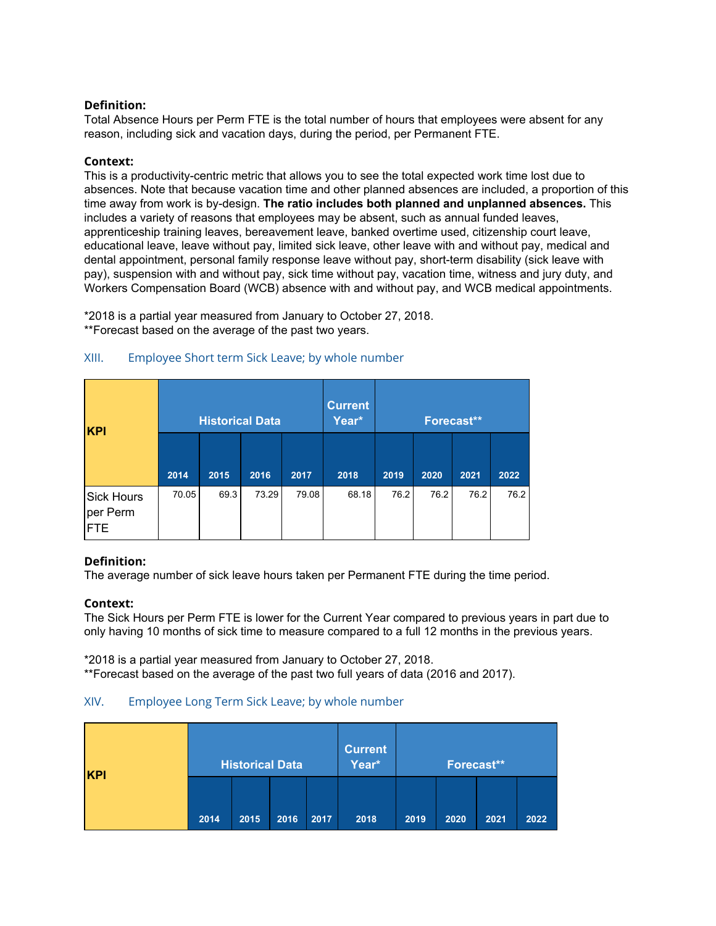Total Absence Hours per Perm FTE is the total number of hours that employees were absent for any reason, including sick and vacation days, during the period, per Permanent FTE.

## **Context:**

This is a productivity-centric metric that allows you to see the total expected work time lost due to absences. Note that because vacation time and other planned absences are included, a proportion of this time away from work is by-design. **The ratio includes both planned and unplanned absences.** This includes a variety of reasons that employees may be absent, such as annual funded leaves, apprenticeship training leaves, bereavement leave, banked overtime used, citizenship court leave, educational leave, leave without pay, limited sick leave, other leave with and without pay, medical and dental appointment, personal family response leave without pay, short-term disability (sick leave with pay), suspension with and without pay, sick time without pay, vacation time, witness and jury duty, and Workers Compensation Board (WCB) absence with and without pay, and WCB medical appointments.

\*2018 is a partial year measured from January to October 27, 2018. \*\*Forecast based on the average of the past two years.

| <b>KPI</b>                           |       | <b>Historical Data</b> |       |       | <b>Current</b><br>Year* | Forecast** |      |      |      |
|--------------------------------------|-------|------------------------|-------|-------|-------------------------|------------|------|------|------|
|                                      | 2014  | 2015                   | 2016  | 2017  | 2018                    | 2019       | 2020 | 2021 | 2022 |
| <b>Sick Hours</b><br>per Perm<br>FTE | 70.05 | 69.3                   | 73.29 | 79.08 | 68.18                   | 76.2       | 76.2 | 76.2 | 76.2 |

### XIII. Employee Short term Sick Leave; by whole number

#### **Definition:**

The average number of sick leave hours taken per Permanent FTE during the time period.

#### **Context:**

The Sick Hours per Perm FTE is lower for the Current Year compared to previous years in part due to only having 10 months of sick time to measure compared to a full 12 months in the previous years.

\*2018 is a partial year measured from January to October 27, 2018. \*\*Forecast based on the average of the past two full years of data (2016 and 2017).

### XIV. Employee Long Term Sick Leave; by whole number

| <b>KPI</b> | <b>Historical Data</b> |      |      |      | <b>Current</b><br>Year* | Forecast** |      |      |      |
|------------|------------------------|------|------|------|-------------------------|------------|------|------|------|
|            | 2014                   | 2015 | 2016 | 2017 | 2018                    | 2019       | 2020 | 2021 | 2022 |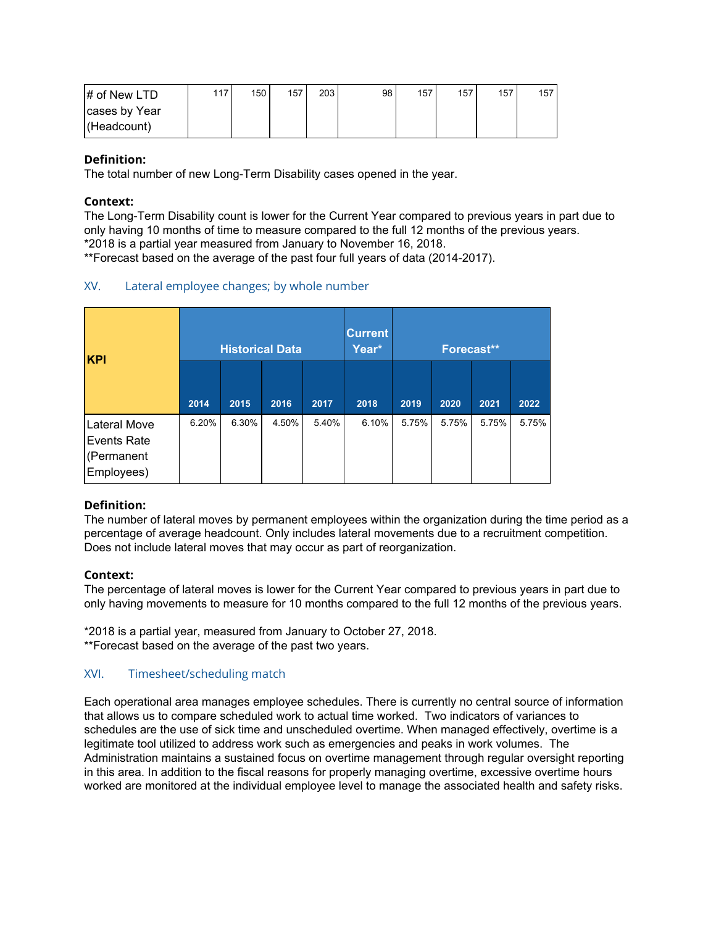| $\sharp$ of New LTD | 117 | 150 | 157 | 203 <sub>1</sub> | 98 | 157 | 157 | 157 | 157 |
|---------------------|-----|-----|-----|------------------|----|-----|-----|-----|-----|
| cases by Year       |     |     |     |                  |    |     |     |     |     |
| (Headcount)         |     |     |     |                  |    |     |     |     |     |

The total number of new Long-Term Disability cases opened in the year.

### **Context:**

The Long-Term Disability count is lower for the Current Year compared to previous years in part due to only having 10 months of time to measure compared to the full 12 months of the previous years. \*2018 is a partial year measured from January to November 16, 2018.

\*\*Forecast based on the average of the past four full years of data (2014-2017).

# XV. Lateral employee changes; by whole number

| <b>KPI</b>                                                     |       |       | <b>Historical Data</b> |       | <b>Current</b><br>Year* |       |       | Forecast** |       |
|----------------------------------------------------------------|-------|-------|------------------------|-------|-------------------------|-------|-------|------------|-------|
|                                                                | 2014  | 2015  | 2016                   | 2017  | 2018                    | 2019  | 2020  | 2021       | 2022  |
| <b>Lateral Move</b><br>Events Rate<br>(Permanent<br>Employees) | 6.20% | 6.30% | 4.50%                  | 5.40% | 6.10%                   | 5.75% | 5.75% | 5.75%      | 5.75% |

# **Definition:**

The number of lateral moves by permanent employees within the organization during the time period as a percentage of average headcount. Only includes lateral movements due to a recruitment competition. Does not include lateral moves that may occur as part of reorganization.

#### **Context:**

The percentage of lateral moves is lower for the Current Year compared to previous years in part due to only having movements to measure for 10 months compared to the full 12 months of the previous years.

\*2018 is a partial year, measured from January to October 27, 2018. \*\*Forecast based on the average of the past two years.

# XVI. Timesheet/scheduling match

Each operational area manages employee schedules. There is currently no central source of information that allows us to compare scheduled work to actual time worked. Two indicators of variances to schedules are the use of sick time and unscheduled overtime. When managed effectively, overtime is a legitimate tool utilized to address work such as emergencies and peaks in work volumes. The Administration maintains a sustained focus on overtime management through regular oversight reporting in this area. In addition to the fiscal reasons for properly managing overtime, excessive overtime hours worked are monitored at the individual employee level to manage the associated health and safety risks.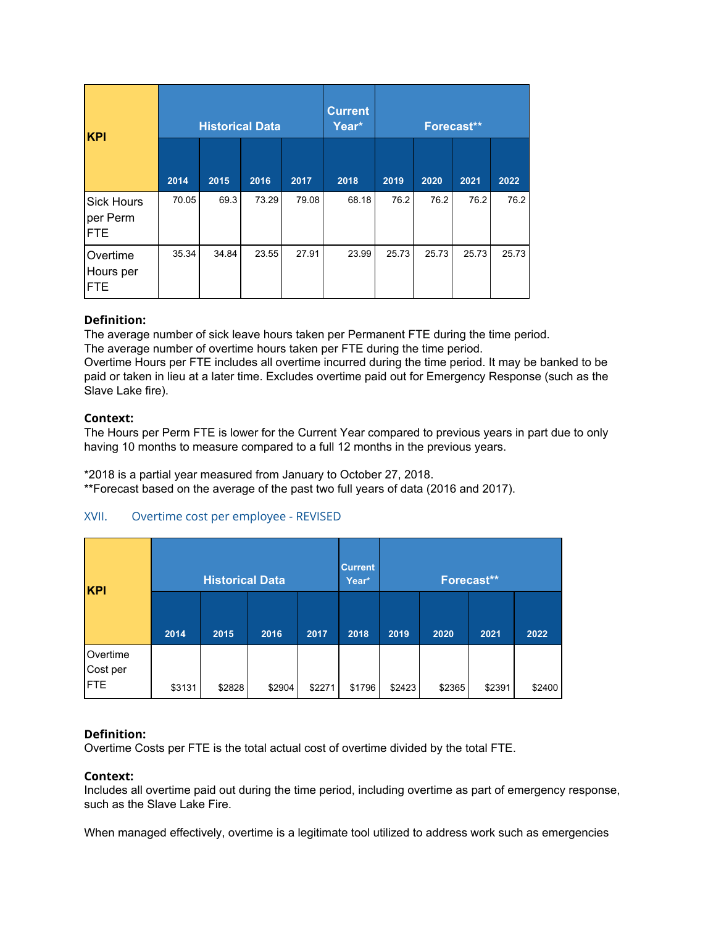| <b>KPI</b>                                  |       | <b>Historical Data</b> |       |       | <b>Current</b><br>Year* | Forecast** |       |       |       |
|---------------------------------------------|-------|------------------------|-------|-------|-------------------------|------------|-------|-------|-------|
|                                             | 2014  | 2015                   | 2016  | 2017  | 2018                    | 2019       | 2020  | 2021  | 2022  |
| <b>Sick Hours</b><br>per Perm<br><b>FTE</b> | 70.05 | 69.3                   | 73.29 | 79.08 | 68.18                   | 76.2       | 76.2  | 76.2  | 76.2  |
| Overtime<br>Hours per<br><b>FTE</b>         | 35.34 | 34.84                  | 23.55 | 27.91 | 23.99                   | 25.73      | 25.73 | 25.73 | 25.73 |

The average number of sick leave hours taken per Permanent FTE during the time period. The average number of overtime hours taken per FTE during the time period.

Overtime Hours per FTE includes all overtime incurred during the time period. It may be banked to be paid or taken in lieu at a later time. Excludes overtime paid out for Emergency Response (such as the Slave Lake fire).

### **Context:**

The Hours per Perm FTE is lower for the Current Year compared to previous years in part due to only having 10 months to measure compared to a full 12 months in the previous years.

\*2018 is a partial year measured from January to October 27, 2018.

\*\*Forecast based on the average of the past two full years of data (2016 and 2017).

# XVII. Overtime cost per employee - REVISED

| <b>KPI</b>                          |        | <b>Historical Data</b> |        |        | <b>Current</b><br>Year* | Forecast** |        |        |        |  |
|-------------------------------------|--------|------------------------|--------|--------|-------------------------|------------|--------|--------|--------|--|
|                                     | 2014   | 2015                   | 2016   | 2017   | 2018                    | 2019       | 2020   | 2021   | 2022   |  |
| Overtime<br>Cost per<br><b>IFTE</b> | \$3131 | \$2828                 | \$2904 | \$2271 | \$1796                  | \$2423     | \$2365 | \$2391 | \$2400 |  |

# **Definition:**

Overtime Costs per FTE is the total actual cost of overtime divided by the total FTE.

#### **Context:**

Includes all overtime paid out during the time period, including overtime as part of emergency response, such as the Slave Lake Fire.

When managed effectively, overtime is a legitimate tool utilized to address work such as emergencies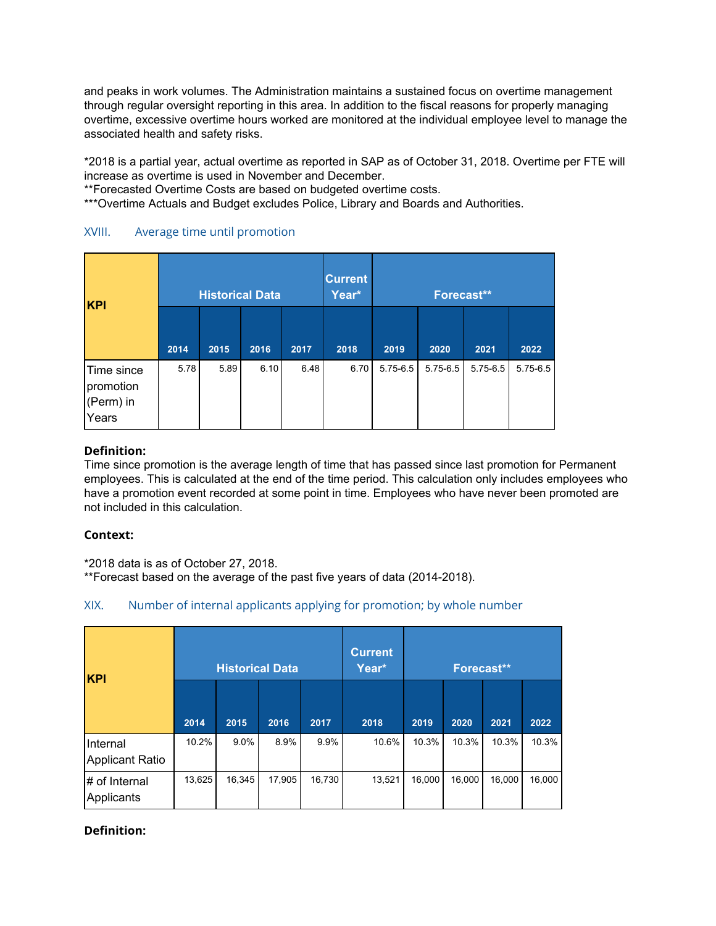and peaks in work volumes. The Administration maintains a sustained focus on overtime management through regular oversight reporting in this area. In addition to the fiscal reasons for properly managing overtime, excessive overtime hours worked are monitored at the individual employee level to manage the associated health and safety risks.

\*2018 is a partial year, actual overtime as reported in SAP as of October 31, 2018. Overtime per FTE will increase as overtime is used in November and December.

\*\*Forecasted Overtime Costs are based on budgeted overtime costs.

\*\*\*Overtime Actuals and Budget excludes Police, Library and Boards and Authorities.

| XVIII. |  |  |  | Average time until promotion |
|--------|--|--|--|------------------------------|
|--------|--|--|--|------------------------------|

| <b>KPI</b>                                    |      | <b>Historical Data</b> |      |      | <b>Current</b><br>Year* | Forecast**   |              |              |              |  |
|-----------------------------------------------|------|------------------------|------|------|-------------------------|--------------|--------------|--------------|--------------|--|
|                                               | 2014 | 2015                   | 2016 | 2017 | 2018                    | 2019         | 2020         | 2021         | 2022         |  |
| Time since<br>promotion<br>(Perm) in<br>Years | 5.78 | 5.89                   | 6.10 | 6.48 | 6.70                    | $5.75 - 6.5$ | $5.75 - 6.5$ | $5.75 - 6.5$ | $5.75 - 6.5$ |  |

# **Definition:**

Time since promotion is the average length of time that has passed since last promotion for Permanent employees. This is calculated at the end of the time period. This calculation only includes employees who have a promotion event recorded at some point in time. Employees who have never been promoted are not included in this calculation.

#### **Context:**

\*2018 data is as of October 27, 2018.

\*\*Forecast based on the average of the past five years of data (2014-2018).

# XIX. Number of internal applicants applying for promotion; by whole number

| <b>KPI</b>                         |        | <b>Historical Data</b> |        |        | <b>Current</b><br>Year* | <b>Forecast**</b> |        |        |        |
|------------------------------------|--------|------------------------|--------|--------|-------------------------|-------------------|--------|--------|--------|
|                                    | 2014   | 2015                   | 2016   | 2017   | 2018                    | 2019              | 2020   | 2021   | 2022   |
| Internal<br><b>Applicant Ratio</b> | 10.2%  | $9.0\%$                | 8.9%   | 9.9%   | 10.6%                   | 10.3%             | 10.3%  | 10.3%  | 10.3%  |
| # of Internal<br>Applicants        | 13,625 | 16,345                 | 17,905 | 16,730 | 13,521                  | 16,000            | 16,000 | 16,000 | 16,000 |

# **Definition:**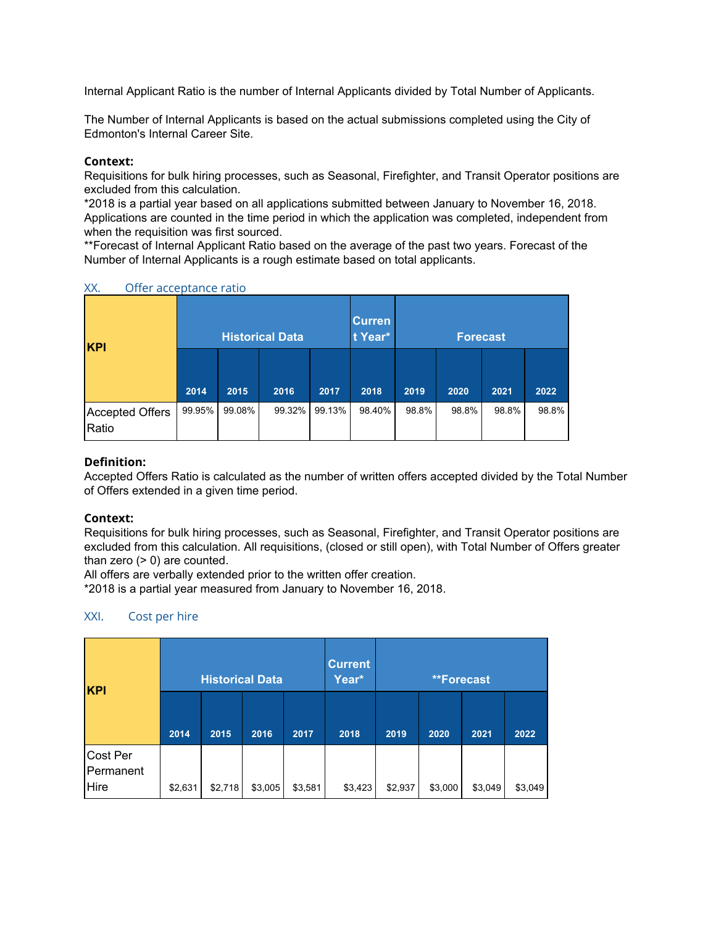Internal Applicant Ratio is the number of Internal Applicants divided by Total Number of Applicants.

The Number of Internal Applicants is based on the actual submissions completed using the City of Edmonton's Internal Career Site.

## **Context:**

Requisitions for bulk hiring processes, such as Seasonal, Firefighter, and Transit Operator positions are excluded from this calculation.

\*2018 is a partial year based on all applications submitted between January to November 16, 2018. Applications are counted in the time period in which the application was completed, independent from when the requisition was first sourced.

\*\*Forecast of Internal Applicant Ratio based on the average of the past two years. Forecast of the Number of Internal Applicants is a rough estimate based on total applicants.

| <b>KPI</b>                      |        |        | <b>Historical Data</b> |        | <b>Curren</b><br>t Year* | <b>Forecast</b> |       |       |       |  |
|---------------------------------|--------|--------|------------------------|--------|--------------------------|-----------------|-------|-------|-------|--|
|                                 | 2014   | 2015   | 2016                   | 2017   | 2018                     | 2019            | 2020  | 2021  | 2022  |  |
| <b>Accepted Offers</b><br>Ratio | 99.95% | 99.08% | 99.32%                 | 99.13% | 98.40%                   | 98.8%           | 98.8% | 98.8% | 98.8% |  |

### XX. Offer acceptance ratio

# **Definition:**

Accepted Offers Ratio is calculated as the number of written offers accepted divided by the Total Number of Offers extended in a given time period.

# **Context:**

Requisitions for bulk hiring processes, such as Seasonal, Firefighter, and Transit Operator positions are excluded from this calculation. All requisitions, (closed or still open), with Total Number of Offers greater than zero  $(> 0)$  are counted.

All offers are verbally extended prior to the written offer creation.

\*2018 is a partial year measured from January to November 16, 2018.

# XXI. Cost per hire

| <b>KPI</b>                    |         | <b>Historical Data</b> |         |         | <b>Current</b><br>Year* | <b>**Forecast</b> |         |         |         |  |
|-------------------------------|---------|------------------------|---------|---------|-------------------------|-------------------|---------|---------|---------|--|
|                               | 2014    | 2015                   | 2016    | 2017    | 2018                    | 2019              | 2020    | 2021    | 2022    |  |
| Cost Per<br>Permanent<br>Hire | \$2,631 | \$2,718                | \$3,005 | \$3,581 | \$3,423                 | \$2,937           | \$3,000 | \$3,049 | \$3,049 |  |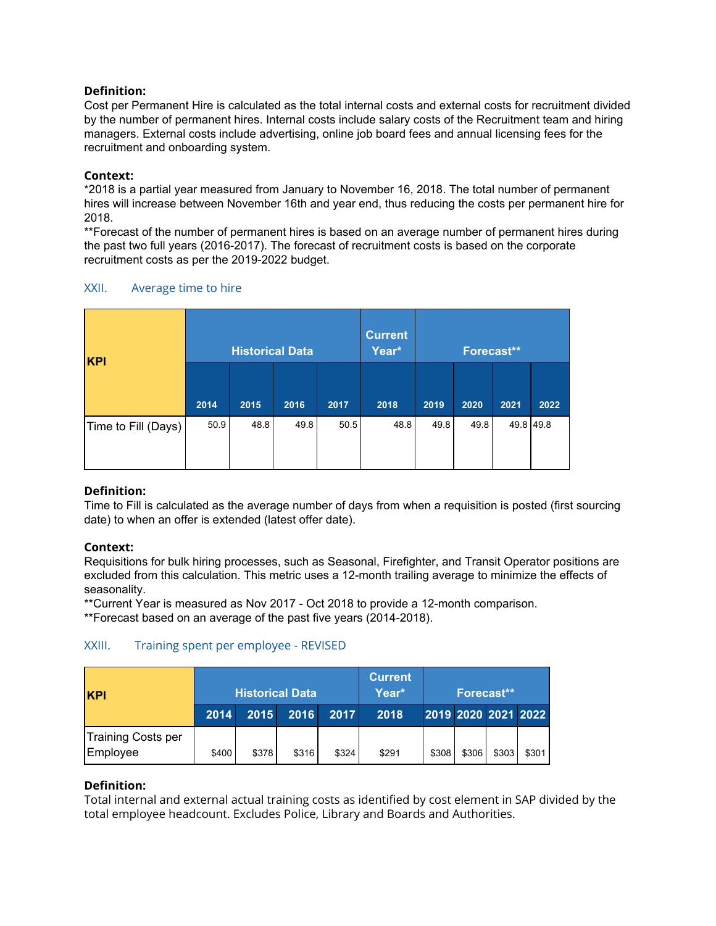Cost per Permanent Hire is calculated as the total internal costs and external costs for recruitment divided by the number of permanent hires. Internal costs include salary costs of the Recruitment team and hiring managers. External costs include advertising, online job board fees and annual licensing fees for the recruitment and onboarding system.

# **Context:**

\*2018 is a partial year measured from January to November 16, 2018. The total number of permanent hires will increase between November 16th and year end, thus reducing the costs per permanent hire for 2018.

\*\*Forecast of the number of permanent hires is based on an average number of permanent hires during the past two full years (2016-2017). The forecast of recruitment costs is based on the corporate recruitment costs as per the 2019-2022 budget.

| <b>KPI</b>          |      | <b>Historical Data</b> |      |      | <b>Current</b><br>Year* | Forecast** |      |           |      |
|---------------------|------|------------------------|------|------|-------------------------|------------|------|-----------|------|
|                     | 2014 | 2015                   | 2016 | 2017 | 2018                    | 2019       | 2020 | 2021      | 2022 |
| Time to Fill (Days) | 50.9 | 48.8                   | 49.8 | 50.5 | 48.8                    | 49.8       | 49.8 | 49.8 49.8 |      |

# XXII. Average time to hire

# **Definition:**

Time to Fill is calculated as the average number of days from when a requisition is posted (first sourcing date) to when an offer is extended (latest offer date).

# **Context:**

Requisitions for bulk hiring processes, such as Seasonal, Firefighter, and Transit Operator positions are excluded from this calculation. This metric uses a 12-month trailing average to minimize the effects of seasonality.

\*\*Current Year is measured as Nov 2017 - Oct 2018 to provide a 12-month comparison.

\*\*Forecast based on an average of the past five years (2014-2018).

# XXIII. Training spent per employee - REVISED

| <b>KPI</b>                     | <b>Historical Data</b> |       |       |       | <b>Current</b><br>Year* | Forecast** |       |                     |       |
|--------------------------------|------------------------|-------|-------|-------|-------------------------|------------|-------|---------------------|-------|
|                                | 2014                   | 2015  | 2016  | 2017  | 2018                    |            |       | 2019 2020 2021 2022 |       |
| Training Costs per<br>Employee | \$400                  | \$378 | \$316 | \$324 | \$291                   | \$308      | \$306 | \$303               | \$301 |

# **Definition:**

Total internal and external actual training costs as identified by cost element in SAP divided by the total employee headcount. Excludes Police, Library and Boards and Authorities.